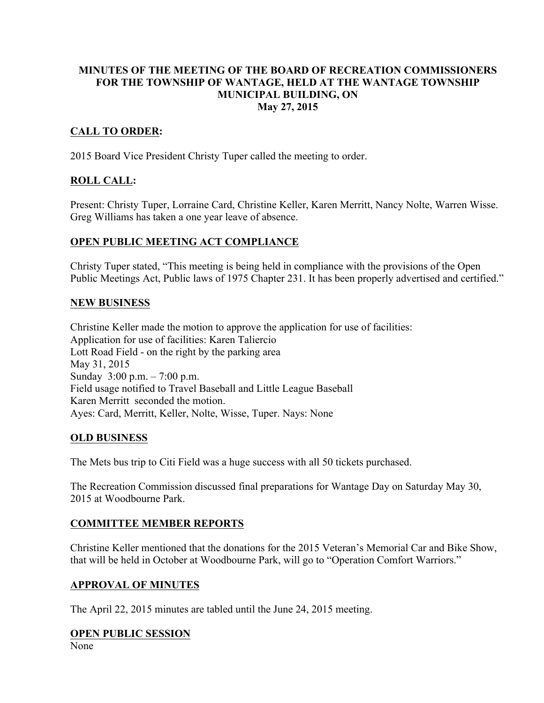#### MINUTES OF THE MEETING OF THE BOARD OF RECREATION COMMISSIONERS FOR THE TOWNSHIP OF WANTAGE, HELD AT THE WANTAGE TOWNSHIP MUNICIPAL BUILDING, ON May 27, 2015

## CALL TO ORDER:

2015 Board Vice President Christy Tuper called the meeting to order.

# ROLL CALL:

Present: Christy Tuper, Lorraine Card, Christine Keller, Karen Merritt, Nancy Nolte, Warren Wisse. Greg Williams has taken a one year leave of absence.

# OPEN PUBLIC MEETING ACT COMPLIANCE

Christy Tuper stated, "This meeting is being held in compliance with the provisions of the Open Public Meetings Act, Public laws of 1975 Chapter 231. It has been properly advertised and certified."

#### NEW BUSINESS

Christine Keller made the motion to approve the application for use of facilities: Application for use of facilities: Karen Taliercio Lott Road Field - on the right by the parking area May 31, 2015 Sunday 3:00 p.m. – 7:00 p.m. Field usage notified to Travel Baseball and Little League Baseball Karen Merritt seconded the motion. Ayes: Card, Merritt, Keller, Nolte, Wisse, Tuper. Nays: None

## OLD BUSINESS

The Mets bus trip to Citi Field was a huge success with all 50 tickets purchased.

The Recreation Commission discussed final preparations for Wantage Day on Saturday May 30, 2015 at Woodbourne Park.

## COMMITTEE MEMBER REPORTS

Christine Keller mentioned that the donations for the 2015 Veteran's Memorial Car and Bike Show, that will be held in October at Woodbourne Park, will go to "Operation Comfort Warriors."

## APPROVAL OF MINUTES

The April 22, 2015 minutes are tabled until the June 24, 2015 meeting.

#### OPEN PUBLIC SESSION

None